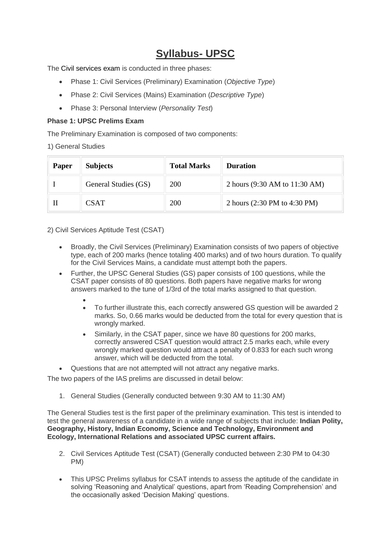## **Syllabus- UPSC**

The [Civil services exam](https://byjus.com/ias/civil-services-exam/) is conducted in three phases:

- Phase 1: Civil Services (Preliminary) Examination (*Objective Type*)
- Phase 2: Civil Services (Mains) Examination (*Descriptive Type*)
- Phase 3: Personal Interview (*Personality Test*)

### **Phase 1: UPSC Prelims Exam**

The Preliminary Examination is composed of two components:

1) General Studies

| Paper | <b>Subjects</b>      | <b>Total Marks</b> | <b>Duration</b>               |
|-------|----------------------|--------------------|-------------------------------|
|       | General Studies (GS) | <b>200</b>         | 2 hours (9:30 AM to 11:30 AM) |
|       | <b>CSAT</b>          | <b>200</b>         | 2 hours (2:30 PM to 4:30 PM)  |

2) Civil Services Aptitude Test (CSAT)

- Broadly, the Civil Services (Preliminary) Examination consists of two papers of objective type, each of 200 marks (hence totaling 400 marks) and of two hours duration. To qualify for the Civil Services Mains, a candidate must attempt both the papers.
- Further, the UPSC General Studies (GS) paper consists of 100 questions, while the CSAT paper consists of 80 questions. Both papers have negative marks for wrong answers marked to the tune of 1/3rd of the total marks assigned to that question.
	- • To further illustrate this, each correctly answered GS question will be awarded 2 marks. So, 0.66 marks would be deducted from the total for every question that is wrongly marked.
	- Similarly, in the CSAT paper, since we have 80 questions for 200 marks, correctly answered CSAT question would attract 2.5 marks each, while every wrongly marked question would attract a penalty of 0.833 for each such wrong answer, which will be deducted from the total.
- Questions that are not attempted will not attract any negative marks.

The two papers of the IAS prelims are discussed in detail below:

1. General Studies (Generally conducted between 9:30 AM to 11:30 AM)

The General Studies test is the first paper of the preliminary examination. This test is intended to test the general awareness of a candidate in a wide range of subjects that include: **Indian Polity, Geography, History, Indian Economy, Science and Technology, Environment and Ecology, International Relations and associated [UPSC current affairs.](https://byjus.com/current-affairs/)**

- 2. Civil Services Aptitude Test (CSAT) (Generally conducted between 2:30 PM to 04:30 PM)
- This UPSC Prelims syllabus for CSAT intends to assess the aptitude of the candidate in solving 'Reasoning and Analytical' questions, apart from 'Reading Comprehension' and the occasionally asked 'Decision Making' questions.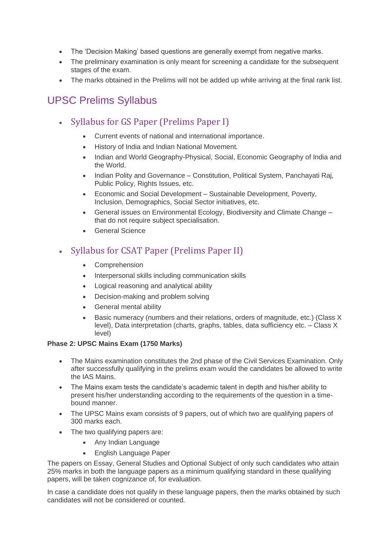- The 'Decision Making' based questions are generally exempt from negative marks.
- The preliminary examination is only meant for screening a candidate for the subsequent stages of the exam.
- The marks obtained in the Prelims will not be added up while arriving at the final rank list.

## UPSC Prelims Syllabus

- Syllabus for GS Paper (Prelims Paper I)
	- Current events of national and international importance.
	- History of India and Indian National Movement.
	- Indian and World Geography-Physical, Social, Economic Geography of India and the World.
	- Indian Polity and Governance Constitution, Political System, Panchayati Raj, Public Policy, Rights Issues, etc.
	- Economic and Social Development Sustainable Development, Poverty, Inclusion, Demographics, Social Sector initiatives, etc.
	- General issues on Environmental Ecology, Biodiversity and Climate Change that do not require subject specialisation.
	- General Science

### • Syllabus for CSAT Paper (Prelims Paper II)

- Comprehension
- Interpersonal skills including communication skills
- Logical reasoning and analytical ability
- Decision-making and problem solving
- General mental ability
- Basic numeracy (numbers and their relations, orders of magnitude, etc.) (Class X level), Data interpretation (charts, graphs, tables, data sufficiency etc. – Class X level)

### **Phase 2: UPSC Mains Exam (1750 Marks)**

- The Mains examination constitutes the 2nd phase of the Civil Services Examination. Only after successfully qualifying in the prelims exam would the candidates be allowed to write the IAS Mains.
- The Mains exam tests the candidate's academic talent in depth and his/her ability to present his/her understanding according to the requirements of the question in a timebound manner.
- The UPSC Mains exam consists of 9 papers, out of which two are qualifying papers of 300 marks each.
- The two qualifying papers are:
	- Any Indian Language
	- English Language Paper

The papers on Essay, General Studies and Optional Subject of only such candidates who attain 25% marks in both the language papers as a minimum qualifying standard in these qualifying papers, will be taken cognizance of, for evaluation.

In case a candidate does not qualify in these language papers, then the marks obtained by such candidates will not be considered or counted*.*